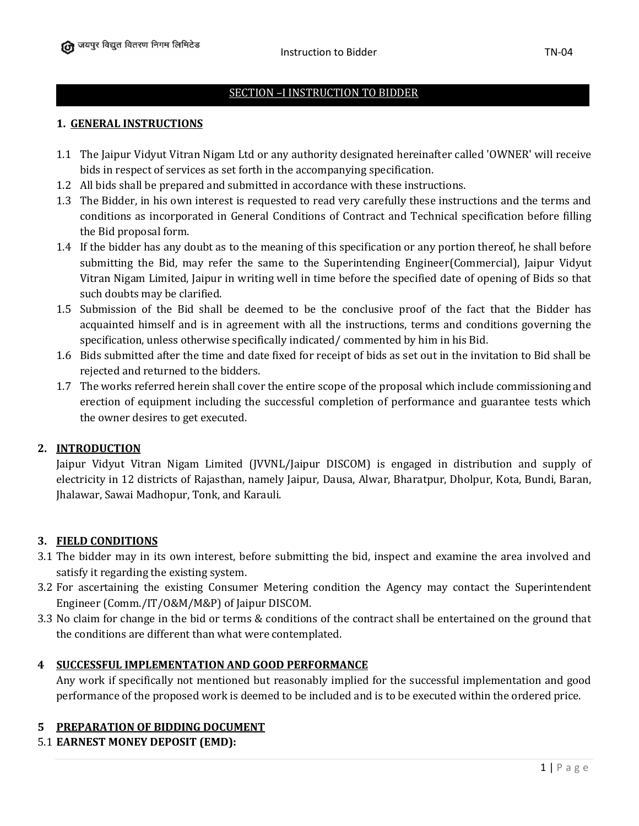#### SECTION –I INSTRUCTION TO BIDDER

#### **1. GENERAL INSTRUCTIONS**

- 1.1 The Jaipur Vidyut Vitran Nigam Ltd or any authority designated hereinafter called 'OWNER' will receive bids in respect of services as set forth in the accompanying specification.
- 1.2 All bids shall be prepared and submitted in accordance with these instructions.
- 1.3 The Bidder, in his own interest is requested to read very carefully these instructions and the terms and conditions as incorporated in General Conditions of Contract and Technical specification before filling the Bid proposal form.
- 1.4 If the bidder has any doubt as to the meaning of this specification or any portion thereof, he shall before submitting the Bid, may refer the same to the Superintending Engineer(Commercial), Jaipur Vidyut Vitran Nigam Limited, Jaipur in writing well in time before the specified date of opening of Bids so that such doubts may be clarified.
- 1.5 Submission of the Bid shall be deemed to be the conclusive proof of the fact that the Bidder has acquainted himself and is in agreement with all the instructions, terms and conditions governing the specification, unless otherwise specifically indicated/ commented by him in his Bid.
- 1.6 Bids submitted after the time and date fixed for receipt of bids as set out in the invitation to Bid shall be rejected and returned to the bidders.
- 1.7 The works referred herein shall cover the entire scope of the proposal which include commissioning and erection of equipment including the successful completion of performance and guarantee tests which the owner desires to get executed.

#### **2. INTRODUCTION**

Jaipur Vidyut Vitran Nigam Limited (JVVNL/Jaipur DISCOM) is engaged in distribution and supply of electricity in 12 districts of Rajasthan, namely Jaipur, Dausa, Alwar, Bharatpur, Dholpur, Kota, Bundi, Baran, Jhalawar, Sawai Madhopur, Tonk, and Karauli.

#### **3. FIELD CONDITIONS**

- 3.1 The bidder may in its own interest, before submitting the bid, inspect and examine the area involved and satisfy it regarding the existing system.
- 3.2 For ascertaining the existing Consumer Metering condition the Agency may contact the Superintendent Engineer (Comm./IT/O&M/M&P) of Jaipur DISCOM.
- 3.3 No claim for change in the bid or terms & conditions of the contract shall be entertained on the ground that the conditions are different than what were contemplated.

#### **4 SUCCESSFUL IMPLEMENTATION AND GOOD PERFORMANCE**

Any work if specifically not mentioned but reasonably implied for the successful implementation and good performance of the proposed work is deemed to be included and is to be executed within the ordered price.

#### **5 PREPARATION OF BIDDING DOCUMENT**

#### 5.1 **EARNEST MONEY DEPOSIT (EMD):**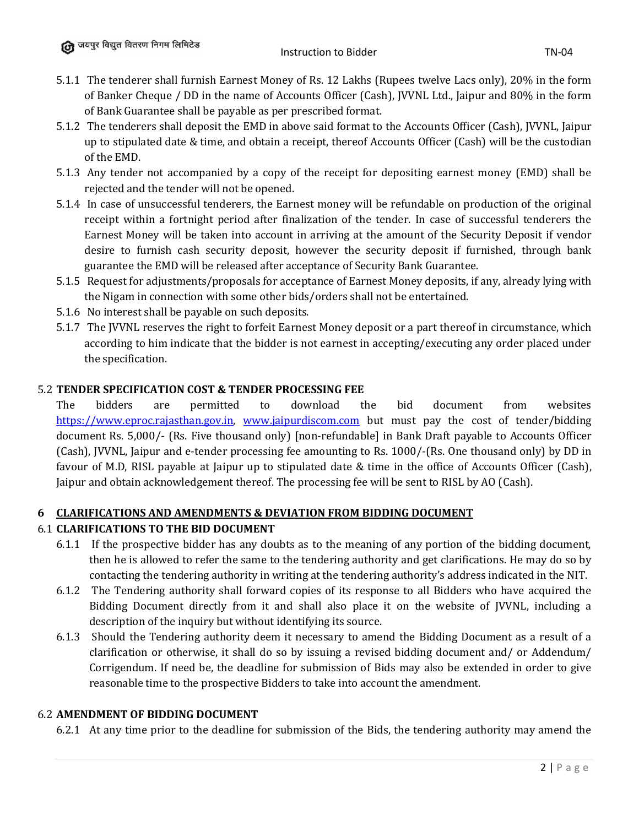- 5.1.1 The tenderer shall furnish Earnest Money of Rs. 12 Lakhs (Rupees twelve Lacs only), 20% in the form of Banker Cheque / DD in the name of Accounts Officer (Cash), JVVNL Ltd., Jaipur and 80% in the form of Bank Guarantee shall be payable as per prescribed format.
- 5.1.2 The tenderers shall deposit the EMD in above said format to the Accounts Officer (Cash), JVVNL, Jaipur up to stipulated date & time, and obtain a receipt, thereof Accounts Officer (Cash) will be the custodian of the EMD.
- 5.1.3 Any tender not accompanied by a copy of the receipt for depositing earnest money (EMD) shall be rejected and the tender will not be opened.
- 5.1.4 In case of unsuccessful tenderers, the Earnest money will be refundable on production of the original receipt within a fortnight period after finalization of the tender. In case of successful tenderers the Earnest Money will be taken into account in arriving at the amount of the Security Deposit if vendor desire to furnish cash security deposit, however the security deposit if furnished, through bank guarantee the EMD will be released after acceptance of Security Bank Guarantee.
- 5.1.5 Request for adjustments/proposals for acceptance of Earnest Money deposits, if any, already lying with the Nigam in connection with some other bids/orders shall not be entertained.
- 5.1.6 No interest shall be payable on such deposits.
- 5.1.7 The JVVNL reserves the right to forfeit Earnest Money deposit or a part thereof in circumstance, which according to him indicate that the bidder is not earnest in accepting/executing any order placed under the specification.

## 5.2 **TENDER SPECIFICATION COST & TENDER PROCESSING FEE**

The bidders are permitted to download the bid document from websites [https://www.eproc.rajasthan.gov.in,](https://www.eproc.rajasthan.gov.in/) [www.jaipurdiscom.com](http://www.jaipurdiscom.com/) but must pay the cost of tender/bidding document Rs. 5,000/- (Rs. Five thousand only) [non-refundable] in Bank Draft payable to Accounts Officer (Cash), JVVNL, Jaipur and e-tender processing fee amounting to Rs. 1000/-(Rs. One thousand only) by DD in favour of M.D, RISL payable at Jaipur up to stipulated date & time in the office of Accounts Officer (Cash), Jaipur and obtain acknowledgement thereof. The processing fee will be sent to RISL by AO (Cash).

## **6 CLARIFICATIONS AND AMENDMENTS & DEVIATION FROM BIDDING DOCUMENT**

## 6.1 **CLARIFICATIONS TO THE BID DOCUMENT**

- 6.1.1 If the prospective bidder has any doubts as to the meaning of any portion of the bidding document, then he is allowed to refer the same to the tendering authority and get clarifications. He may do so by contacting the tendering authority in writing at the tendering authority's address indicated in the NIT.
- 6.1.2 The Tendering authority shall forward copies of its response to all Bidders who have acquired the Bidding Document directly from it and shall also place it on the website of JVVNL, including a description of the inquiry but without identifying its source.
- 6.1.3 Should the Tendering authority deem it necessary to amend the Bidding Document as a result of a clarification or otherwise, it shall do so by issuing a revised bidding document and/ or Addendum/ Corrigendum. If need be, the deadline for submission of Bids may also be extended in order to give reasonable time to the prospective Bidders to take into account the amendment.

#### 6.2 **AMENDMENT OF BIDDING DOCUMENT**

6.2.1 At any time prior to the deadline for submission of the Bids, the tendering authority may amend the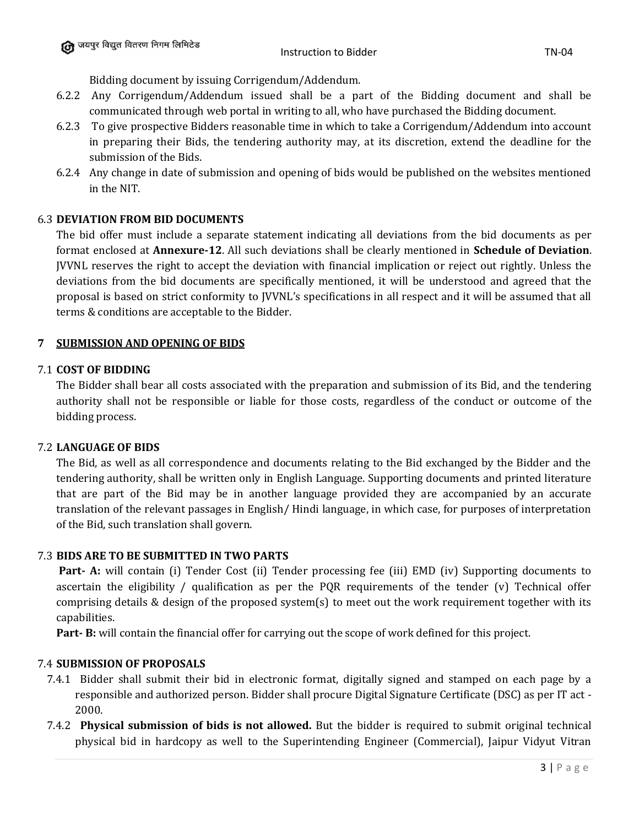Bidding document by issuing Corrigendum/Addendum.

- 6.2.2 Any Corrigendum/Addendum issued shall be a part of the Bidding document and shall be communicated through web portal in writing to all, who have purchased the Bidding document.
- 6.2.3 To give prospective Bidders reasonable time in which to take a Corrigendum/Addendum into account in preparing their Bids, the tendering authority may, at its discretion, extend the deadline for the submission of the Bids.
- 6.2.4 Any change in date of submission and opening of bids would be published on the websites mentioned in the NIT.

#### 6.3 **DEVIATION FROM BID DOCUMENTS**

The bid offer must include a separate statement indicating all deviations from the bid documents as per format enclosed at **Annexure-12**. All such deviations shall be clearly mentioned in **Schedule of Deviation**. JVVNL reserves the right to accept the deviation with financial implication or reject out rightly. Unless the deviations from the bid documents are specifically mentioned, it will be understood and agreed that the proposal is based on strict conformity to JVVNL's specifications in all respect and it will be assumed that all terms & conditions are acceptable to the Bidder.

#### **7 SUBMISSION AND OPENING OF BIDS**

#### 7.1 **COST OF BIDDING**

The Bidder shall bear all costs associated with the preparation and submission of its Bid, and the tendering authority shall not be responsible or liable for those costs, regardless of the conduct or outcome of the bidding process.

## 7.2 **LANGUAGE OF BIDS**

The Bid, as well as all correspondence and documents relating to the Bid exchanged by the Bidder and the tendering authority, shall be written only in English Language. Supporting documents and printed literature that are part of the Bid may be in another language provided they are accompanied by an accurate translation of the relevant passages in English/ Hindi language, in which case, for purposes of interpretation of the Bid, such translation shall govern.

#### 7.3 **BIDS ARE TO BE SUBMITTED IN TWO PARTS**

**Part- A:** will contain (i) Tender Cost (ii) Tender processing fee (iii) EMD (iv) Supporting documents to ascertain the eligibility / qualification as per the PQR requirements of the tender (v) Technical offer comprising details & design of the proposed system(s) to meet out the work requirement together with its capabilities.

**Part- B:** will contain the financial offer for carrying out the scope of work defined for this project.

#### 7.4 **SUBMISSION OF PROPOSALS**

- 7.4.1 Bidder shall submit their bid in electronic format, digitally signed and stamped on each page by a responsible and authorized person. Bidder shall procure Digital Signature Certificate (DSC) as per IT act - 2000.
- 7.4.2 **Physical submission of bids is not allowed.** But the bidder is required to submit original technical physical bid in hardcopy as well to the Superintending Engineer (Commercial), Jaipur Vidyut Vitran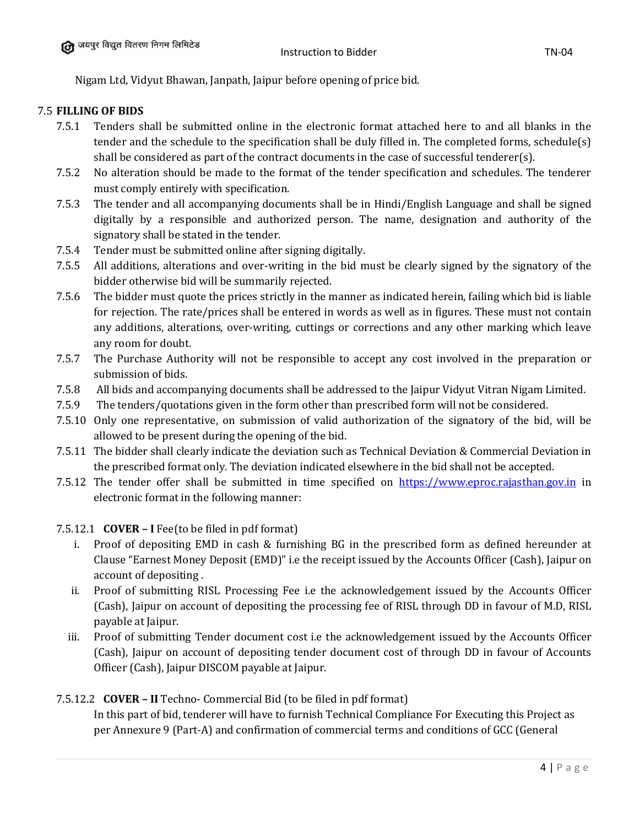Nigam Ltd, Vidyut Bhawan, Janpath, Jaipur before opening of price bid.

#### 7.5 **FILLING OF BIDS**

- 7.5.1 Tenders shall be submitted online in the electronic format attached here to and all blanks in the tender and the schedule to the specification shall be duly filled in. The completed forms, schedule(s) shall be considered as part of the contract documents in the case of successful tenderer(s).
- 7.5.2 No alteration should be made to the format of the tender specification and schedules. The tenderer must comply entirely with specification.
- 7.5.3 The tender and all accompanying documents shall be in Hindi/English Language and shall be signed digitally by a responsible and authorized person. The name, designation and authority of the signatory shall be stated in the tender.
- 7.5.4 Tender must be submitted online after signing digitally.
- 7.5.5 All additions, alterations and over-writing in the bid must be clearly signed by the signatory of the bidder otherwise bid will be summarily rejected.
- 7.5.6 The bidder must quote the prices strictly in the manner as indicated herein, failing which bid is liable for rejection. The rate/prices shall be entered in words as well as in figures. These must not contain any additions, alterations, over-writing, cuttings or corrections and any other marking which leave any room for doubt.
- 7.5.7 The Purchase Authority will not be responsible to accept any cost involved in the preparation or submission of bids.
- 7.5.8 All bids and accompanying documents shall be addressed to the Jaipur Vidyut Vitran Nigam Limited.
- 7.5.9 The tenders/quotations given in the form other than prescribed form will not be considered.
- 7.5.10 Only one representative, on submission of valid authorization of the signatory of the bid, will be allowed to be present during the opening of the bid.
- 7.5.11 The bidder shall clearly indicate the deviation such as Technical Deviation & Commercial Deviation in the prescribed format only. The deviation indicated elsewhere in the bid shall not be accepted.
- 7.5.12 The tender offer shall be submitted in time specified on [https://www.eproc.rajasthan.gov.in](https://www.eproc.rajasthan.gov.in/) in electronic format in the following manner:

#### 7.5.12.1 **COVER – I** Fee(to be filed in pdf format)

- i. Proof of depositing EMD in cash & furnishing BG in the prescribed form as defined hereunder at Clause "Earnest Money Deposit (EMD)" i.e the receipt issued by the Accounts Officer (Cash), Jaipur on account of depositing .
- ii. Proof of submitting RISL Processing Fee i.e the acknowledgement issued by the Accounts Officer (Cash), Jaipur on account of depositing the processing fee of RISL through DD in favour of M.D, RISL payable at Jaipur.
- iii. Proof of submitting Tender document cost i.e the acknowledgement issued by the Accounts Officer (Cash), Jaipur on account of depositing tender document cost of through DD in favour of Accounts Officer (Cash), Jaipur DISCOM payable at Jaipur.

## 7.5.12.2 **COVER – II** Techno- Commercial Bid (to be filed in pdf format)

In this part of bid, tenderer will have to furnish Technical Compliance For Executing this Project as per Annexure 9 (Part-A) and confirmation of commercial terms and conditions of GCC (General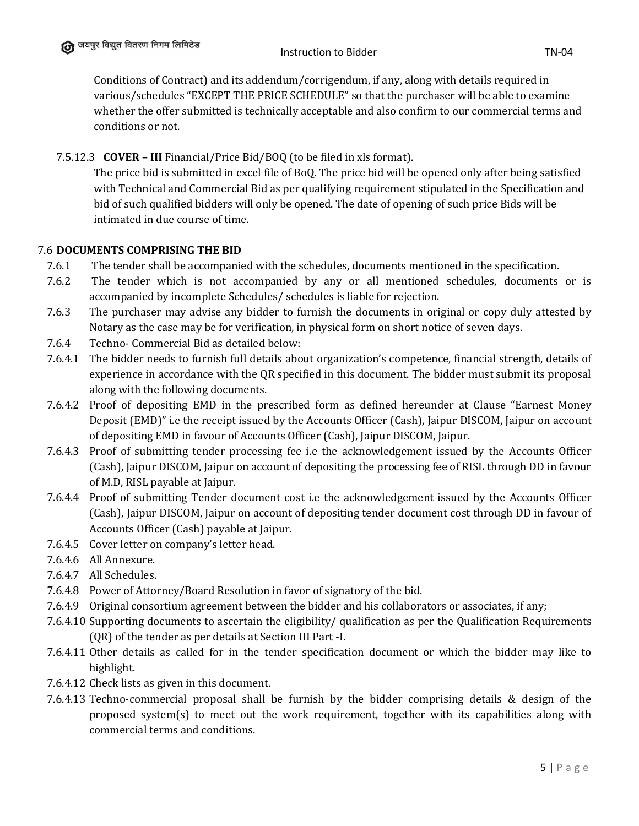Conditions of Contract) and its addendum/corrigendum, if any, along with details required in various/schedules "EXCEPT THE PRICE SCHEDULE" so that the purchaser will be able to examine whether the offer submitted is technically acceptable and also confirm to our commercial terms and conditions or not.

# 7.5.12.3 **COVER – III** Financial/Price Bid/BOQ (to be filed in xls format).

The price bid is submitted in excel file of BoQ. The price bid will be opened only after being satisfied with Technical and Commercial Bid as per qualifying requirement stipulated in the Specification and bid of such qualified bidders will only be opened. The date of opening of such price Bids will be intimated in due course of time.

## 7.6 **DOCUMENTS COMPRISING THE BID**

- 7.6.1 The tender shall be accompanied with the schedules, documents mentioned in the specification.
- 7.6.2 The tender which is not accompanied by any or all mentioned schedules, documents or is accompanied by incomplete Schedules/ schedules is liable for rejection.
- 7.6.3 The purchaser may advise any bidder to furnish the documents in original or copy duly attested by Notary as the case may be for verification, in physical form on short notice of seven days.
- 7.6.4 Techno- Commercial Bid as detailed below:
- 7.6.4.1 The bidder needs to furnish full details about organization's competence, financial strength, details of experience in accordance with the QR specified in this document. The bidder must submit its proposal along with the following documents.
- 7.6.4.2 Proof of depositing EMD in the prescribed form as defined hereunder at Clause "Earnest Money Deposit (EMD)" i.e the receipt issued by the Accounts Officer (Cash), Jaipur DISCOM, Jaipur on account of depositing EMD in favour of Accounts Officer (Cash), Jaipur DISCOM, Jaipur.
- 7.6.4.3 Proof of submitting tender processing fee i.e the acknowledgement issued by the Accounts Officer (Cash), Jaipur DISCOM, Jaipur on account of depositing the processing fee of RISL through DD in favour of M.D, RISL payable at Jaipur.
- 7.6.4.4 Proof of submitting Tender document cost i.e the acknowledgement issued by the Accounts Officer (Cash), Jaipur DISCOM, Jaipur on account of depositing tender document cost through DD in favour of Accounts Officer (Cash) payable at Jaipur.
- 7.6.4.5 Cover letter on company's letter head.
- 7.6.4.6 All Annexure.
- 7.6.4.7 All Schedules.
- 7.6.4.8 Power of Attorney/Board Resolution in favor of signatory of the bid.
- 7.6.4.9 Original consortium agreement between the bidder and his collaborators or associates, if any;
- 7.6.4.10 Supporting documents to ascertain the eligibility/ qualification as per the Qualification Requirements (QR) of the tender as per details at Section III Part -I.
- 7.6.4.11 Other details as called for in the tender specification document or which the bidder may like to highlight.
- 7.6.4.12 Check lists as given in this document.
- 7.6.4.13 Techno-commercial proposal shall be furnish by the bidder comprising details & design of the proposed system(s) to meet out the work requirement, together with its capabilities along with commercial terms and conditions.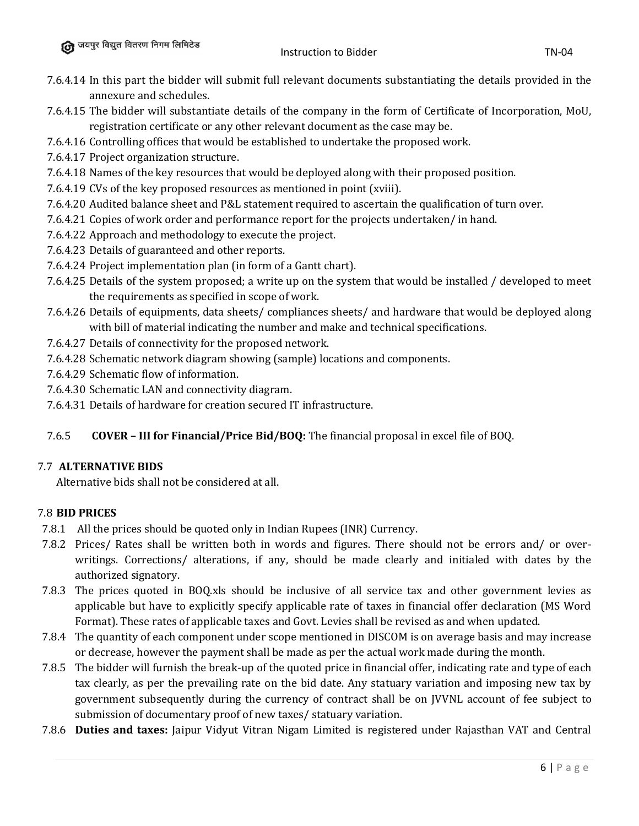- 7.6.4.14 In this part the bidder will submit full relevant documents substantiating the details provided in the annexure and schedules.
- 7.6.4.15 The bidder will substantiate details of the company in the form of Certificate of Incorporation, MoU, registration certificate or any other relevant document as the case may be.
- 7.6.4.16 Controlling offices that would be established to undertake the proposed work.
- 7.6.4.17 Project organization structure.
- 7.6.4.18 Names of the key resources that would be deployed along with their proposed position.
- 7.6.4.19 CVs of the key proposed resources as mentioned in point (xviii).
- 7.6.4.20 Audited balance sheet and P&L statement required to ascertain the qualification of turn over.
- 7.6.4.21 Copies of work order and performance report for the projects undertaken/ in hand.
- 7.6.4.22 Approach and methodology to execute the project.
- 7.6.4.23 Details of guaranteed and other reports.
- 7.6.4.24 Project implementation plan (in form of a Gantt chart).
- 7.6.4.25 Details of the system proposed; a write up on the system that would be installed / developed to meet the requirements as specified in scope of work.
- 7.6.4.26 Details of equipments, data sheets/ compliances sheets/ and hardware that would be deployed along with bill of material indicating the number and make and technical specifications.
- 7.6.4.27 Details of connectivity for the proposed network.
- 7.6.4.28 Schematic network diagram showing (sample) locations and components.
- 7.6.4.29 Schematic flow of information.
- 7.6.4.30 Schematic LAN and connectivity diagram.
- 7.6.4.31 Details of hardware for creation secured IT infrastructure.

# 7.6.5 **COVER – III for Financial/Price Bid/BOQ:** The financial proposal in excel file of BOQ.

# 7.7 **ALTERNATIVE BIDS**

Alternative bids shall not be considered at all.

# 7.8 **BID PRICES**

- 7.8.1 All the prices should be quoted only in Indian Rupees (INR) Currency.
- 7.8.2 Prices/ Rates shall be written both in words and figures. There should not be errors and/ or overwritings. Corrections/ alterations, if any, should be made clearly and initialed with dates by the authorized signatory.
- 7.8.3 The prices quoted in BOQ.xls should be inclusive of all service tax and other government levies as applicable but have to explicitly specify applicable rate of taxes in financial offer declaration (MS Word Format). These rates of applicable taxes and Govt. Levies shall be revised as and when updated.
- 7.8.4 The quantity of each component under scope mentioned in DISCOM is on average basis and may increase or decrease, however the payment shall be made as per the actual work made during the month.
- 7.8.5 The bidder will furnish the break-up of the quoted price in financial offer, indicating rate and type of each tax clearly, as per the prevailing rate on the bid date. Any statuary variation and imposing new tax by government subsequently during the currency of contract shall be on JVVNL account of fee subject to submission of documentary proof of new taxes/ statuary variation.
- 7.8.6 **Duties and taxes:** Jaipur Vidyut Vitran Nigam Limited is registered under Rajasthan VAT and Central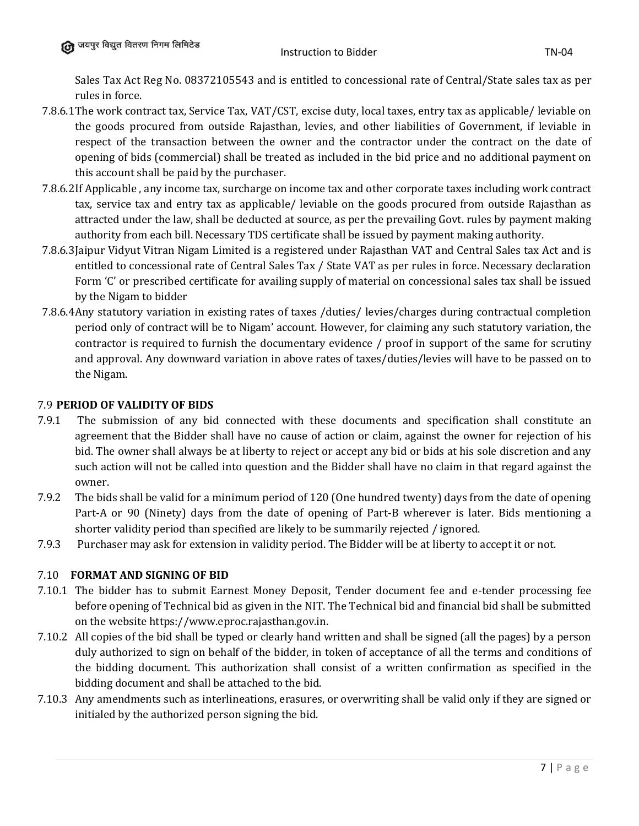Sales Tax Act Reg No. 08372105543 and is entitled to concessional rate of Central/State sales tax as per rules in force.

- 7.8.6.1The work contract tax, Service Tax, VAT/CST, excise duty, local taxes, entry tax as applicable/ leviable on the goods procured from outside Rajasthan, levies, and other liabilities of Government, if leviable in respect of the transaction between the owner and the contractor under the contract on the date of opening of bids (commercial) shall be treated as included in the bid price and no additional payment on this account shall be paid by the purchaser.
- 7.8.6.2If Applicable , any income tax, surcharge on income tax and other corporate taxes including work contract tax, service tax and entry tax as applicable/ leviable on the goods procured from outside Rajasthan as attracted under the law, shall be deducted at source, as per the prevailing Govt. rules by payment making authority from each bill. Necessary TDS certificate shall be issued by payment making authority.
- 7.8.6.3Jaipur Vidyut Vitran Nigam Limited is a registered under Rajasthan VAT and Central Sales tax Act and is entitled to concessional rate of Central Sales Tax / State VAT as per rules in force. Necessary declaration Form 'C' or prescribed certificate for availing supply of material on concessional sales tax shall be issued by the Nigam to bidder
- 7.8.6.4Any statutory variation in existing rates of taxes /duties/ levies/charges during contractual completion period only of contract will be to Nigam' account. However, for claiming any such statutory variation, the contractor is required to furnish the documentary evidence / proof in support of the same for scrutiny and approval. Any downward variation in above rates of taxes/duties/levies will have to be passed on to the Nigam.

# 7.9 **PERIOD OF VALIDITY OF BIDS**

- 7.9.1 The submission of any bid connected with these documents and specification shall constitute an agreement that the Bidder shall have no cause of action or claim, against the owner for rejection of his bid. The owner shall always be at liberty to reject or accept any bid or bids at his sole discretion and any such action will not be called into question and the Bidder shall have no claim in that regard against the owner.
- 7.9.2 The bids shall be valid for a minimum period of 120 (One hundred twenty) days from the date of opening Part-A or 90 (Ninety) days from the date of opening of Part-B wherever is later. Bids mentioning a shorter validity period than specified are likely to be summarily rejected / ignored.
- 7.9.3 Purchaser may ask for extension in validity period. The Bidder will be at liberty to accept it or not.

## 7.10 **FORMAT AND SIGNING OF BID**

- 7.10.1 The bidder has to submit Earnest Money Deposit, Tender document fee and e-tender processing fee before opening of Technical bid as given in the NIT. The Technical bid and financial bid shall be submitted on the website https://www.eproc.rajasthan.gov.in.
- 7.10.2 All copies of the bid shall be typed or clearly hand written and shall be signed (all the pages) by a person duly authorized to sign on behalf of the bidder, in token of acceptance of all the terms and conditions of the bidding document. This authorization shall consist of a written confirmation as specified in the bidding document and shall be attached to the bid.
- 7.10.3 Any amendments such as interlineations, erasures, or overwriting shall be valid only if they are signed or initialed by the authorized person signing the bid.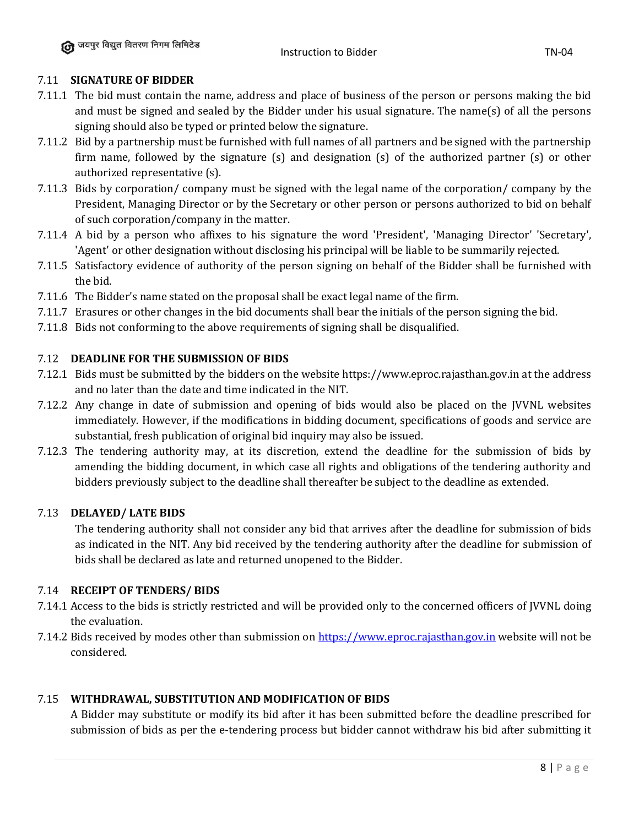#### Instruction to Bidder TN-04

## 7.11 **SIGNATURE OF BIDDER**

- 7.11.1 The bid must contain the name, address and place of business of the person or persons making the bid and must be signed and sealed by the Bidder under his usual signature. The name(s) of all the persons signing should also be typed or printed below the signature.
- 7.11.2 Bid by a partnership must be furnished with full names of all partners and be signed with the partnership firm name, followed by the signature (s) and designation (s) of the authorized partner (s) or other authorized representative (s).
- 7.11.3 Bids by corporation/ company must be signed with the legal name of the corporation/ company by the President, Managing Director or by the Secretary or other person or persons authorized to bid on behalf of such corporation/company in the matter.
- 7.11.4 A bid by a person who affixes to his signature the word 'President', 'Managing Director' 'Secretary', 'Agent' or other designation without disclosing his principal will be liable to be summarily rejected.
- 7.11.5 Satisfactory evidence of authority of the person signing on behalf of the Bidder shall be furnished with the bid.
- 7.11.6 The Bidder's name stated on the proposal shall be exact legal name of the firm.
- 7.11.7 Erasures or other changes in the bid documents shall bear the initials of the person signing the bid.
- 7.11.8 Bids not conforming to the above requirements of signing shall be disqualified.

# 7.12 **DEADLINE FOR THE SUBMISSION OF BIDS**

- 7.12.1 Bids must be submitted by the bidders on the website https://www.eproc.rajasthan.gov.in at the address and no later than the date and time indicated in the NIT.
- 7.12.2 Any change in date of submission and opening of bids would also be placed on the JVVNL websites immediately. However, if the modifications in bidding document, specifications of goods and service are substantial, fresh publication of original bid inquiry may also be issued.
- 7.12.3 The tendering authority may, at its discretion, extend the deadline for the submission of bids by amending the bidding document, in which case all rights and obligations of the tendering authority and bidders previously subject to the deadline shall thereafter be subject to the deadline as extended.

## 7.13 **DELAYED/ LATE BIDS**

The tendering authority shall not consider any bid that arrives after the deadline for submission of bids as indicated in the NIT. Any bid received by the tendering authority after the deadline for submission of bids shall be declared as late and returned unopened to the Bidder.

# 7.14 **RECEIPT OF TENDERS/ BIDS**

- 7.14.1 Access to the bids is strictly restricted and will be provided only to the concerned officers of JVVNL doing the evaluation.
- 7.14.2 Bids received by modes other than submission on [https://www.eproc.rajasthan.gov.in](https://www.eproc.rajasthan.gov.in/) website will not be considered.

## 7.15 **WITHDRAWAL, SUBSTITUTION AND MODIFICATION OF BIDS**

A Bidder may substitute or modify its bid after it has been submitted before the deadline prescribed for submission of bids as per the e-tendering process but bidder cannot withdraw his bid after submitting it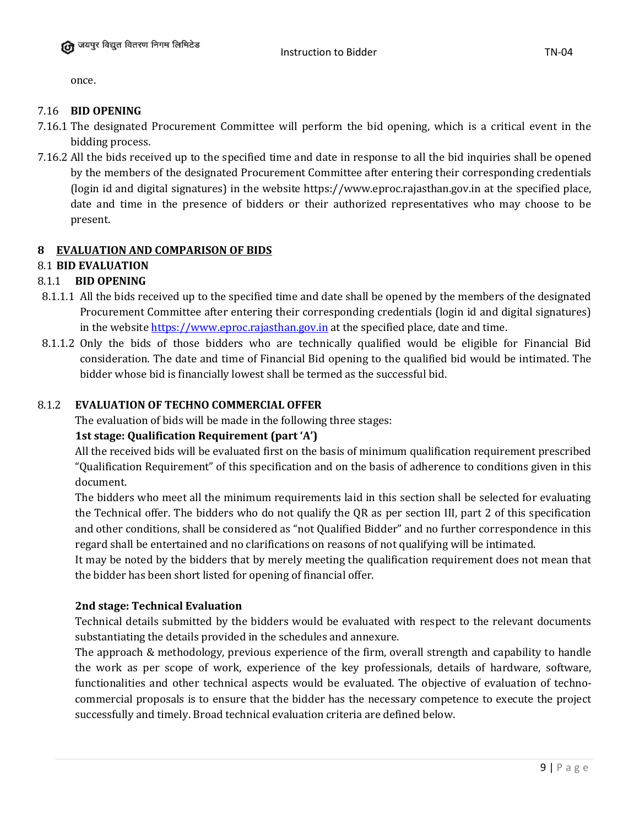once.

# 7.16 **BID OPENING**

- 7.16.1 The designated Procurement Committee will perform the bid opening, which is a critical event in the bidding process.
- 7.16.2 All the bids received up to the specified time and date in response to all the bid inquiries shall be opened by the members of the designated Procurement Committee after entering their corresponding credentials (login id and digital signatures) in the website https://www.eproc.rajasthan.gov.in at the specified place, date and time in the presence of bidders or their authorized representatives who may choose to be present.

# **8 EVALUATION AND COMPARISON OF BIDS**

# 8.1 **BID EVALUATION**

# 8.1.1 **BID OPENING**

- 8.1.1.1 All the bids received up to the specified time and date shall be opened by the members of the designated Procurement Committee after entering their corresponding credentials (login id and digital signatures) in the website [https://www.eproc.rajasthan.gov.in](https://www.eproc.rajasthan.gov.in/) at the specified place, date and time.
- 8.1.1.2 Only the bids of those bidders who are technically qualified would be eligible for Financial Bid consideration. The date and time of Financial Bid opening to the qualified bid would be intimated. The bidder whose bid is financially lowest shall be termed as the successful bid.

## 8.1.2 **EVALUATION OF TECHNO COMMERCIAL OFFER**

The evaluation of bids will be made in the following three stages:

# **1st stage: Qualification Requirement (part 'A')**

All the received bids will be evaluated first on the basis of minimum qualification requirement prescribed "Qualification Requirement" of this specification and on the basis of adherence to conditions given in this document.

The bidders who meet all the minimum requirements laid in this section shall be selected for evaluating the Technical offer. The bidders who do not qualify the QR as per section III, part 2 of this specification and other conditions, shall be considered as "not Qualified Bidder" and no further correspondence in this regard shall be entertained and no clarifications on reasons of not qualifying will be intimated.

It may be noted by the bidders that by merely meeting the qualification requirement does not mean that the bidder has been short listed for opening of financial offer.

## **2nd stage: Technical Evaluation**

Technical details submitted by the bidders would be evaluated with respect to the relevant documents substantiating the details provided in the schedules and annexure.

The approach & methodology, previous experience of the firm, overall strength and capability to handle the work as per scope of work, experience of the key professionals, details of hardware, software, functionalities and other technical aspects would be evaluated. The objective of evaluation of technocommercial proposals is to ensure that the bidder has the necessary competence to execute the project successfully and timely. Broad technical evaluation criteria are defined below.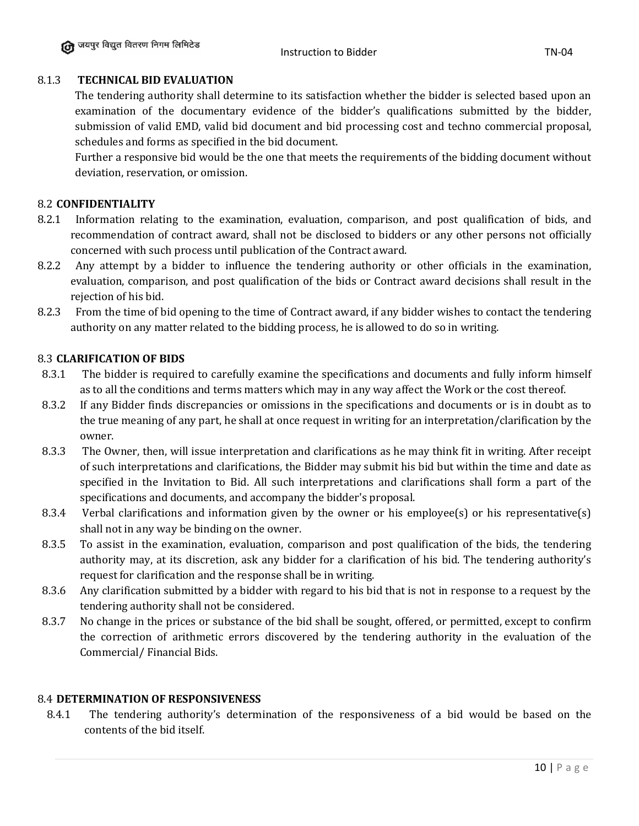## 8.1.3 **TECHNICAL BID EVALUATION**

The tendering authority shall determine to its satisfaction whether the bidder is selected based upon an examination of the documentary evidence of the bidder's qualifications submitted by the bidder, submission of valid EMD, valid bid document and bid processing cost and techno commercial proposal, schedules and forms as specified in the bid document.

Further a responsive bid would be the one that meets the requirements of the bidding document without deviation, reservation, or omission.

## 8.2 **CONFIDENTIALITY**

- 8.2.1 Information relating to the examination, evaluation, comparison, and post qualification of bids, and recommendation of contract award, shall not be disclosed to bidders or any other persons not officially concerned with such process until publication of the Contract award.
- 8.2.2 Any attempt by a bidder to influence the tendering authority or other officials in the examination, evaluation, comparison, and post qualification of the bids or Contract award decisions shall result in the rejection of his bid.
- 8.2.3 From the time of bid opening to the time of Contract award, if any bidder wishes to contact the tendering authority on any matter related to the bidding process, he is allowed to do so in writing.

#### 8.3 **CLARIFICATION OF BIDS**

- 8.3.1 The bidder is required to carefully examine the specifications and documents and fully inform himself as to all the conditions and terms matters which may in any way affect the Work or the cost thereof.
- 8.3.2 If any Bidder finds discrepancies or omissions in the specifications and documents or is in doubt as to the true meaning of any part, he shall at once request in writing for an interpretation/clarification by the owner.
- 8.3.3 The Owner, then, will issue interpretation and clarifications as he may think fit in writing. After receipt of such interpretations and clarifications, the Bidder may submit his bid but within the time and date as specified in the Invitation to Bid. All such interpretations and clarifications shall form a part of the specifications and documents, and accompany the bidder's proposal.
- 8.3.4 Verbal clarifications and information given by the owner or his employee(s) or his representative(s) shall not in any way be binding on the owner.
- 8.3.5 To assist in the examination, evaluation, comparison and post qualification of the bids, the tendering authority may, at its discretion, ask any bidder for a clarification of his bid. The tendering authority's request for clarification and the response shall be in writing.
- 8.3.6 Any clarification submitted by a bidder with regard to his bid that is not in response to a request by the tendering authority shall not be considered.
- 8.3.7 No change in the prices or substance of the bid shall be sought, offered, or permitted, except to confirm the correction of arithmetic errors discovered by the tendering authority in the evaluation of the Commercial/ Financial Bids.

#### 8.4 **DETERMINATION OF RESPONSIVENESS**

8.4.1 The tendering authority's determination of the responsiveness of a bid would be based on the contents of the bid itself.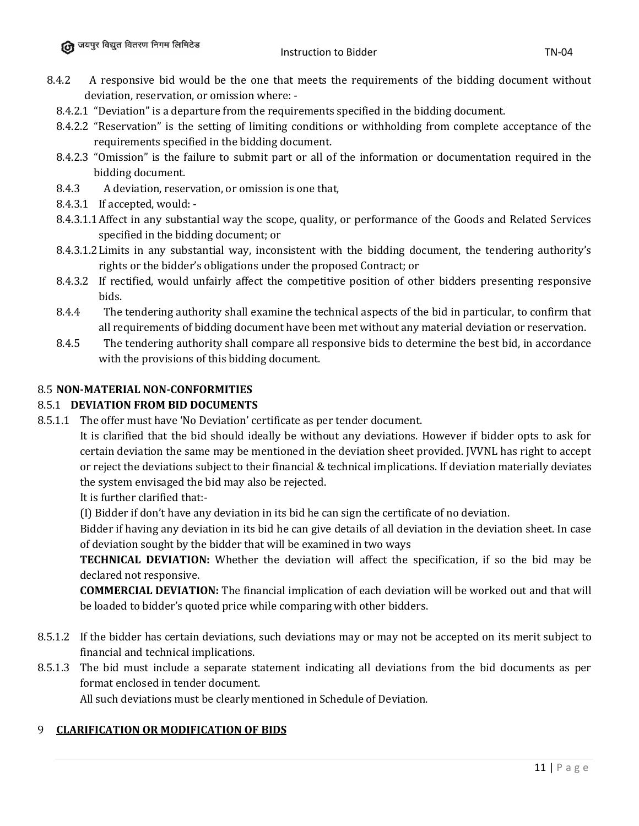- 8.4.2 A responsive bid would be the one that meets the requirements of the bidding document without deviation, reservation, or omission where: -
	- 8.4.2.1 "Deviation" is a departure from the requirements specified in the bidding document.
	- 8.4.2.2 "Reservation" is the setting of limiting conditions or withholding from complete acceptance of the requirements specified in the bidding document.
	- 8.4.2.3 "Omission" is the failure to submit part or all of the information or documentation required in the bidding document.
	- 8.4.3 A deviation, reservation, or omission is one that,
	- 8.4.3.1 If accepted, would: -
	- 8.4.3.1.1Affect in any substantial way the scope, quality, or performance of the Goods and Related Services specified in the bidding document; or
	- 8.4.3.1.2Limits in any substantial way, inconsistent with the bidding document, the tendering authority's rights or the bidder's obligations under the proposed Contract; or
	- 8.4.3.2 If rectified, would unfairly affect the competitive position of other bidders presenting responsive bids.
	- 8.4.4 The tendering authority shall examine the technical aspects of the bid in particular, to confirm that all requirements of bidding document have been met without any material deviation or reservation.
	- 8.4.5 The tendering authority shall compare all responsive bids to determine the best bid, in accordance with the provisions of this bidding document.

## 8.5 **NON-MATERIAL NON-CONFORMITIES**

# 8.5.1 **DEVIATION FROM BID DOCUMENTS**

8.5.1.1 The offer must have 'No Deviation' certificate as per tender document.

It is clarified that the bid should ideally be without any deviations. However if bidder opts to ask for certain deviation the same may be mentioned in the deviation sheet provided. JVVNL has right to accept or reject the deviations subject to their financial & technical implications. If deviation materially deviates the system envisaged the bid may also be rejected.

It is further clarified that:-

(I) Bidder if don't have any deviation in its bid he can sign the certificate of no deviation.

Bidder if having any deviation in its bid he can give details of all deviation in the deviation sheet. In case of deviation sought by the bidder that will be examined in two ways

**TECHNICAL DEVIATION:** Whether the deviation will affect the specification, if so the bid may be declared not responsive.

**COMMERCIAL DEVIATION:** The financial implication of each deviation will be worked out and that will be loaded to bidder's quoted price while comparing with other bidders.

- 8.5.1.2 If the bidder has certain deviations, such deviations may or may not be accepted on its merit subject to financial and technical implications.
- 8.5.1.3 The bid must include a separate statement indicating all deviations from the bid documents as per format enclosed in tender document. All such deviations must be clearly mentioned in Schedule of Deviation.

## 9 **CLARIFICATION OR MODIFICATION OF BIDS**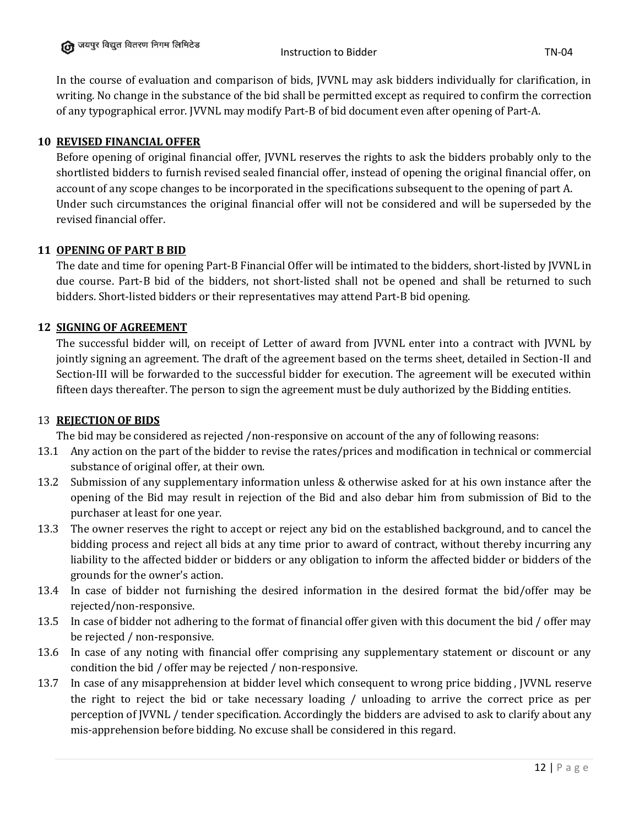In the course of evaluation and comparison of bids, JVVNL may ask bidders individually for clarification, in writing. No change in the substance of the bid shall be permitted except as required to confirm the correction of any typographical error. JVVNL may modify Part-B of bid document even after opening of Part-A.

## **10 REVISED FINANCIAL OFFER**

Before opening of original financial offer, JVVNL reserves the rights to ask the bidders probably only to the shortlisted bidders to furnish revised sealed financial offer, instead of opening the original financial offer, on account of any scope changes to be incorporated in the specifications subsequent to the opening of part A. Under such circumstances the original financial offer will not be considered and will be superseded by the revised financial offer.

# **11 OPENING OF PART B BID**

The date and time for opening Part-B Financial Offer will be intimated to the bidders, short-listed by JVVNL in due course. Part-B bid of the bidders, not short-listed shall not be opened and shall be returned to such bidders. Short-listed bidders or their representatives may attend Part-B bid opening.

# **12 SIGNING OF AGREEMENT**

The successful bidder will, on receipt of Letter of award from JVVNL enter into a contract with JVVNL by jointly signing an agreement. The draft of the agreement based on the terms sheet, detailed in Section-II and Section-III will be forwarded to the successful bidder for execution. The agreement will be executed within fifteen days thereafter. The person to sign the agreement must be duly authorized by the Bidding entities.

## 13 **REJECTION OF BIDS**

The bid may be considered as rejected /non-responsive on account of the any of following reasons:

- 13.1 Any action on the part of the bidder to revise the rates/prices and modification in technical or commercial substance of original offer, at their own.
- 13.2 Submission of any supplementary information unless & otherwise asked for at his own instance after the opening of the Bid may result in rejection of the Bid and also debar him from submission of Bid to the purchaser at least for one year.
- 13.3 The owner reserves the right to accept or reject any bid on the established background, and to cancel the bidding process and reject all bids at any time prior to award of contract, without thereby incurring any liability to the affected bidder or bidders or any obligation to inform the affected bidder or bidders of the grounds for the owner's action.
- 13.4 In case of bidder not furnishing the desired information in the desired format the bid/offer may be rejected/non-responsive.
- 13.5 In case of bidder not adhering to the format of financial offer given with this document the bid / offer may be rejected / non-responsive.
- 13.6 In case of any noting with financial offer comprising any supplementary statement or discount or any condition the bid / offer may be rejected / non-responsive.
- 13.7 In case of any misapprehension at bidder level which consequent to wrong price bidding , JVVNL reserve the right to reject the bid or take necessary loading / unloading to arrive the correct price as per perception of JVVNL / tender specification. Accordingly the bidders are advised to ask to clarify about any mis-apprehension before bidding. No excuse shall be considered in this regard.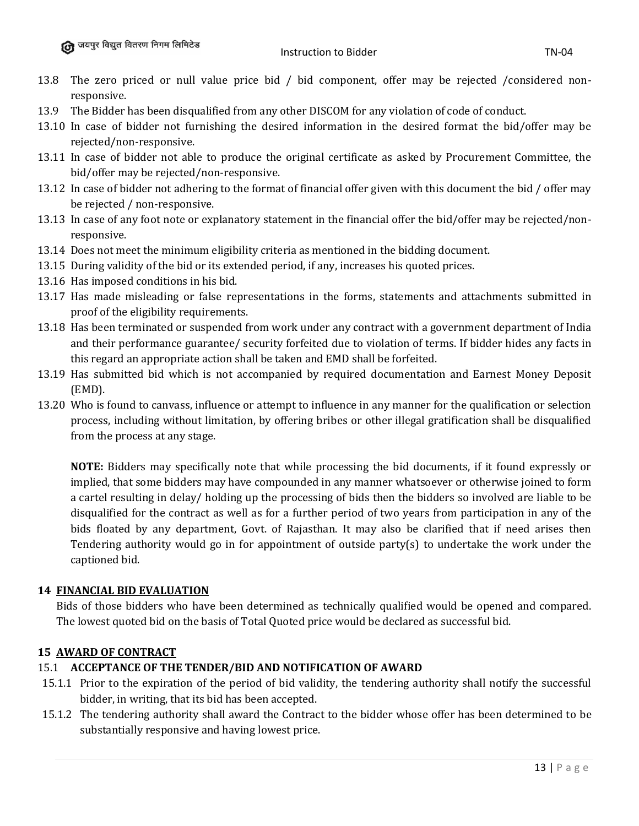- 13.8 The zero priced or null value price bid / bid component, offer may be rejected /considered nonresponsive.
- 13.9 The Bidder has been disqualified from any other DISCOM for any violation of code of conduct.
- 13.10 In case of bidder not furnishing the desired information in the desired format the bid/offer may be rejected/non-responsive.
- 13.11 In case of bidder not able to produce the original certificate as asked by Procurement Committee, the bid/offer may be rejected/non-responsive.
- 13.12 In case of bidder not adhering to the format of financial offer given with this document the bid / offer may be rejected / non-responsive.
- 13.13 In case of any foot note or explanatory statement in the financial offer the bid/offer may be rejected/nonresponsive.
- 13.14 Does not meet the minimum eligibility criteria as mentioned in the bidding document.
- 13.15 During validity of the bid or its extended period, if any, increases his quoted prices.
- 13.16 Has imposed conditions in his bid.
- 13.17 Has made misleading or false representations in the forms, statements and attachments submitted in proof of the eligibility requirements.
- 13.18 Has been terminated or suspended from work under any contract with a government department of India and their performance guarantee/ security forfeited due to violation of terms. If bidder hides any facts in this regard an appropriate action shall be taken and EMD shall be forfeited.
- 13.19 Has submitted bid which is not accompanied by required documentation and Earnest Money Deposit (EMD).
- 13.20 Who is found to canvass, influence or attempt to influence in any manner for the qualification or selection process, including without limitation, by offering bribes or other illegal gratification shall be disqualified from the process at any stage.

**NOTE:** Bidders may specifically note that while processing the bid documents, if it found expressly or implied, that some bidders may have compounded in any manner whatsoever or otherwise joined to form a cartel resulting in delay/ holding up the processing of bids then the bidders so involved are liable to be disqualified for the contract as well as for a further period of two years from participation in any of the bids floated by any department, Govt. of Rajasthan. It may also be clarified that if need arises then Tendering authority would go in for appointment of outside party(s) to undertake the work under the captioned bid.

# **14 FINANCIAL BID EVALUATION**

Bids of those bidders who have been determined as technically qualified would be opened and compared. The lowest quoted bid on the basis of Total Quoted price would be declared as successful bid.

# **15 AWARD OF CONTRACT**

## 15.1 **ACCEPTANCE OF THE TENDER/BID AND NOTIFICATION OF AWARD**

- 15.1.1 Prior to the expiration of the period of bid validity, the tendering authority shall notify the successful bidder, in writing, that its bid has been accepted.
- 15.1.2 The tendering authority shall award the Contract to the bidder whose offer has been determined to be substantially responsive and having lowest price.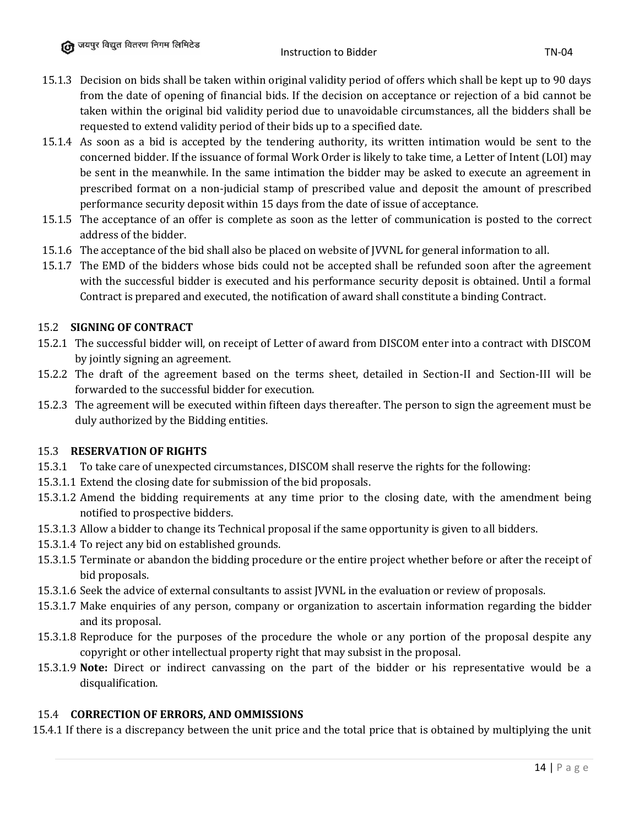- 15.1.3 Decision on bids shall be taken within original validity period of offers which shall be kept up to 90 days from the date of opening of financial bids. If the decision on acceptance or rejection of a bid cannot be taken within the original bid validity period due to unavoidable circumstances, all the bidders shall be requested to extend validity period of their bids up to a specified date.
- 15.1.4 As soon as a bid is accepted by the tendering authority, its written intimation would be sent to the concerned bidder. If the issuance of formal Work Order is likely to take time, a Letter of Intent (LOI) may be sent in the meanwhile. In the same intimation the bidder may be asked to execute an agreement in prescribed format on a non-judicial stamp of prescribed value and deposit the amount of prescribed performance security deposit within 15 days from the date of issue of acceptance.
- 15.1.5 The acceptance of an offer is complete as soon as the letter of communication is posted to the correct address of the bidder.
- 15.1.6 The acceptance of the bid shall also be placed on website of JVVNL for general information to all.
- 15.1.7 The EMD of the bidders whose bids could not be accepted shall be refunded soon after the agreement with the successful bidder is executed and his performance security deposit is obtained. Until a formal Contract is prepared and executed, the notification of award shall constitute a binding Contract.

# 15.2 **SIGNING OF CONTRACT**

- 15.2.1 The successful bidder will, on receipt of Letter of award from DISCOM enter into a contract with DISCOM by jointly signing an agreement.
- 15.2.2 The draft of the agreement based on the terms sheet, detailed in Section-II and Section-III will be forwarded to the successful bidder for execution.
- 15.2.3 The agreement will be executed within fifteen days thereafter. The person to sign the agreement must be duly authorized by the Bidding entities.

## 15.3 **RESERVATION OF RIGHTS**

- 15.3.1 To take care of unexpected circumstances, DISCOM shall reserve the rights for the following:
- 15.3.1.1 Extend the closing date for submission of the bid proposals.
- 15.3.1.2 Amend the bidding requirements at any time prior to the closing date, with the amendment being notified to prospective bidders.
- 15.3.1.3 Allow a bidder to change its Technical proposal if the same opportunity is given to all bidders.
- 15.3.1.4 To reject any bid on established grounds.
- 15.3.1.5 Terminate or abandon the bidding procedure or the entire project whether before or after the receipt of bid proposals.
- 15.3.1.6 Seek the advice of external consultants to assist JVVNL in the evaluation or review of proposals.
- 15.3.1.7 Make enquiries of any person, company or organization to ascertain information regarding the bidder and its proposal.
- 15.3.1.8 Reproduce for the purposes of the procedure the whole or any portion of the proposal despite any copyright or other intellectual property right that may subsist in the proposal.
- 15.3.1.9 **Note:** Direct or indirect canvassing on the part of the bidder or his representative would be a disqualification.

## 15.4 **CORRECTION OF ERRORS, AND OMMISSIONS**

15.4.1 If there is a discrepancy between the unit price and the total price that is obtained by multiplying the unit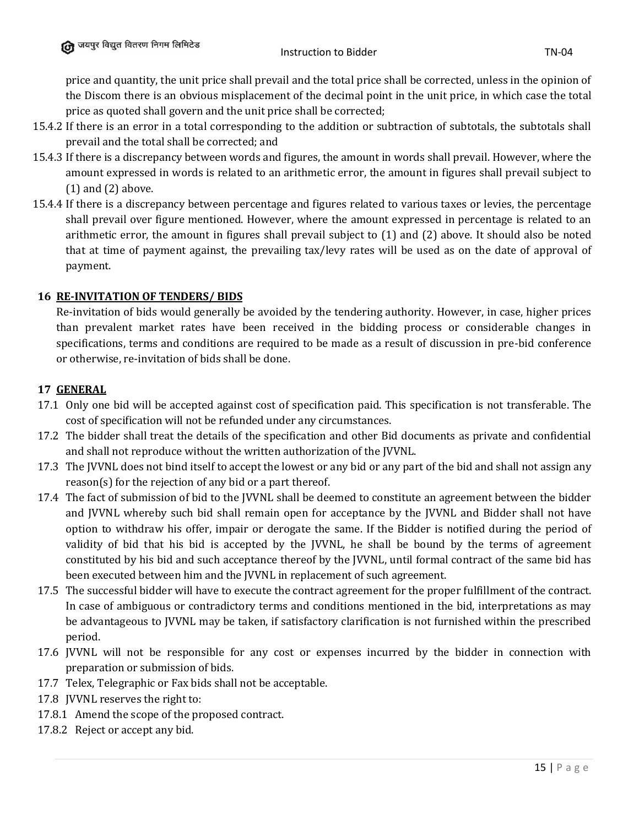price and quantity, the unit price shall prevail and the total price shall be corrected, unless in the opinion of the Discom there is an obvious misplacement of the decimal point in the unit price, in which case the total price as quoted shall govern and the unit price shall be corrected;

- 15.4.2 If there is an error in a total corresponding to the addition or subtraction of subtotals, the subtotals shall prevail and the total shall be corrected; and
- 15.4.3 If there is a discrepancy between words and figures, the amount in words shall prevail. However, where the amount expressed in words is related to an arithmetic error, the amount in figures shall prevail subject to (1) and (2) above.
- 15.4.4 If there is a discrepancy between percentage and figures related to various taxes or levies, the percentage shall prevail over figure mentioned. However, where the amount expressed in percentage is related to an arithmetic error, the amount in figures shall prevail subject to (1) and (2) above. It should also be noted that at time of payment against, the prevailing tax/levy rates will be used as on the date of approval of payment.

# **16 RE-INVITATION OF TENDERS/ BIDS**

Re-invitation of bids would generally be avoided by the tendering authority. However, in case, higher prices than prevalent market rates have been received in the bidding process or considerable changes in specifications, terms and conditions are required to be made as a result of discussion in pre-bid conference or otherwise, re-invitation of bids shall be done.

# **17 GENERAL**

- 17.1 Only one bid will be accepted against cost of specification paid. This specification is not transferable. The cost of specification will not be refunded under any circumstances.
- 17.2 The bidder shall treat the details of the specification and other Bid documents as private and confidential and shall not reproduce without the written authorization of the JVVNL.
- 17.3 The JVVNL does not bind itself to accept the lowest or any bid or any part of the bid and shall not assign any reason(s) for the rejection of any bid or a part thereof.
- 17.4 The fact of submission of bid to the JVVNL shall be deemed to constitute an agreement between the bidder and JVVNL whereby such bid shall remain open for acceptance by the JVVNL and Bidder shall not have option to withdraw his offer, impair or derogate the same. If the Bidder is notified during the period of validity of bid that his bid is accepted by the JVVNL, he shall be bound by the terms of agreement constituted by his bid and such acceptance thereof by the JVVNL, until formal contract of the same bid has been executed between him and the JVVNL in replacement of such agreement.
- 17.5 The successful bidder will have to execute the contract agreement for the proper fulfillment of the contract. In case of ambiguous or contradictory terms and conditions mentioned in the bid, interpretations as may be advantageous to JVVNL may be taken, if satisfactory clarification is not furnished within the prescribed period.
- 17.6 JVVNL will not be responsible for any cost or expenses incurred by the bidder in connection with preparation or submission of bids.
- 17.7 Telex, Telegraphic or Fax bids shall not be acceptable.
- 17.8 JVVNL reserves the right to:
- 17.8.1 Amend the scope of the proposed contract.
- 17.8.2 Reject or accept any bid.